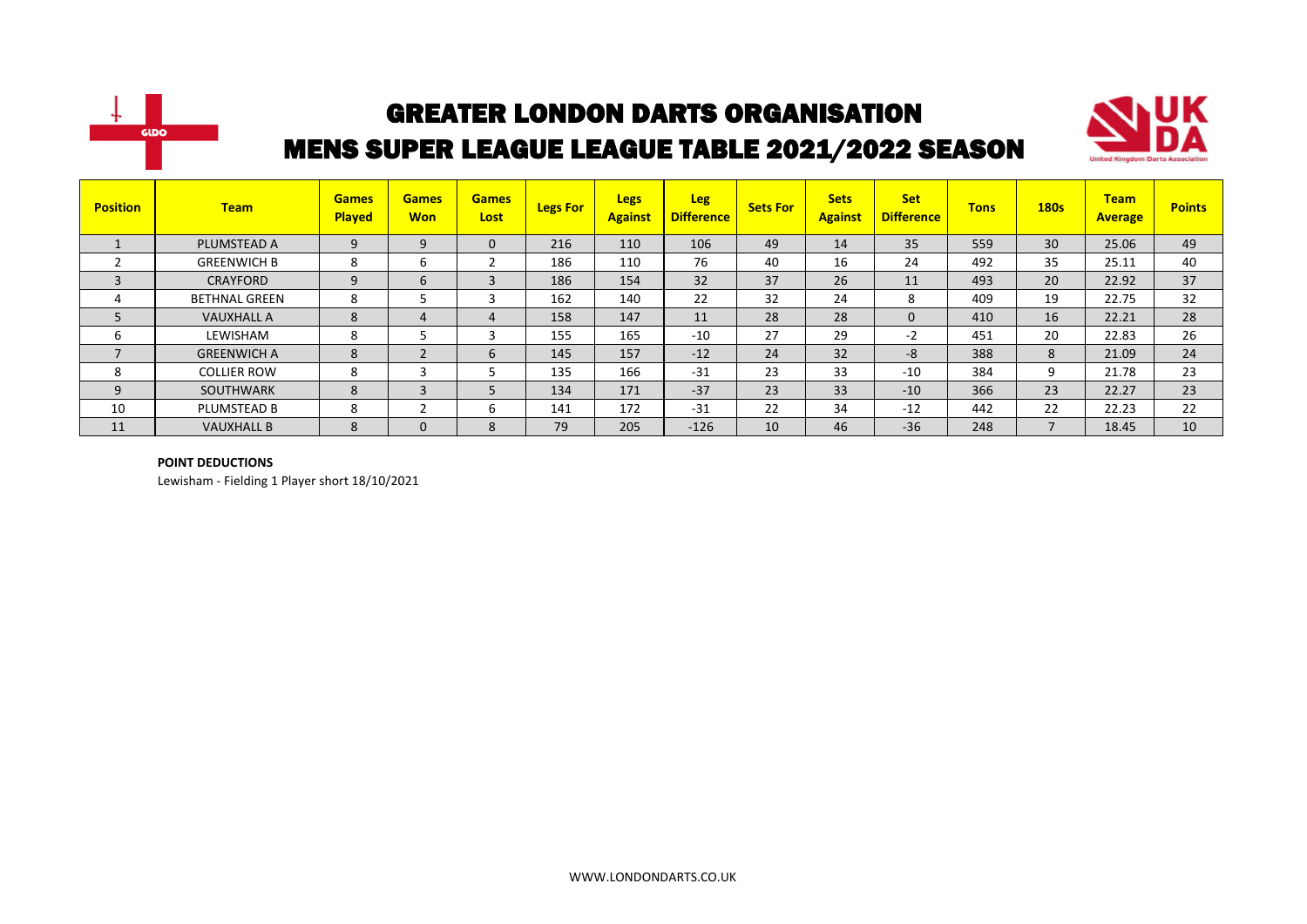



| <b>Position</b> | <b>Team</b>          | <b>Games</b><br><b>Played</b> | <b>Games</b><br><b>Won</b> | <b>Games</b><br>Lost | <b>Legs For</b> | <b>Legs</b><br><b>Against</b> | <b>Leg</b><br><b>Difference</b> | <b>Sets For</b> | <b>Sets</b><br><b>Against</b> | <b>Set</b><br><b>Difference</b> | <b>Tons</b> | <b>180s</b>              | <b>Team</b><br><b>Average</b> | <b>Points</b> |
|-----------------|----------------------|-------------------------------|----------------------------|----------------------|-----------------|-------------------------------|---------------------------------|-----------------|-------------------------------|---------------------------------|-------------|--------------------------|-------------------------------|---------------|
|                 | PLUMSTEAD A          | 9                             | 9                          | 0                    | 216             | 110                           | 106                             | 49              | 14                            | 35                              | 559         | 30                       | 25.06                         | 49            |
|                 | <b>GREENWICH B</b>   | 8                             | 6                          |                      | 186             | 110                           | 76                              | 40              | 16                            | 24                              | 492         | 35                       | 25.11                         | 40            |
| 3               | <b>CRAYFORD</b>      | 9                             | 6                          | 3                    | 186             | 154                           | 32                              | 37              | 26                            | 11                              | 493         | 20                       | 22.92                         | 37            |
| 4               | <b>BETHNAL GREEN</b> | 8                             |                            |                      | 162             | 140                           | 22                              | 32              | 24                            | 8                               | 409         | 19                       | 22.75                         | 32            |
| 5               | <b>VAUXHALL A</b>    | 8                             | 4                          | 4                    | 158             | 147                           | 11                              | 28              | 28                            | $\mathbf{0}$                    | 410         | 16                       | 22.21                         | 28            |
| ь               | LEWISHAM             | 8                             |                            |                      | 155             | 165                           | $-10$                           | 27              | 29                            | $-2$                            | 451         | 20                       | 22.83                         | 26            |
| $\overline{7}$  | <b>GREENWICH A</b>   | 8                             | $\overline{\phantom{0}}$   | 6                    | 145             | 157                           | $-12$                           | 24              | 32                            | -8                              | 388         | 8                        | 21.09                         | 24            |
| 8               | <b>COLLIER ROW</b>   | 8                             | 3                          |                      | 135             | 166                           | $-31$                           | 23              | 33                            | $-10$                           | 384         | 9                        | 21.78                         | 23            |
| 9               | <b>SOUTHWARK</b>     | 8                             | 3                          |                      | 134             | 171                           | $-37$                           | 23              | 33                            | $-10$                           | 366         | 23                       | 22.27                         | 23            |
| 10              | PLUMSTEAD B          | 8                             | $\overline{ }$             | b                    | 141             | 172                           | $-31$                           | 22              | 34                            | $-12$                           | 442         | 22                       | 22.23                         | 22            |
| 11              | <b>VAUXHALL B</b>    | 8                             | $\mathbf 0$                | 8                    | 79              | 205                           | $-126$                          | 10              | 46                            | $-36$                           | 248         | $\overline{\phantom{a}}$ | 18.45                         | 10            |

#### **POINT DEDUCTIONS**

Lewisham - Fielding 1 Player short 18/10/2021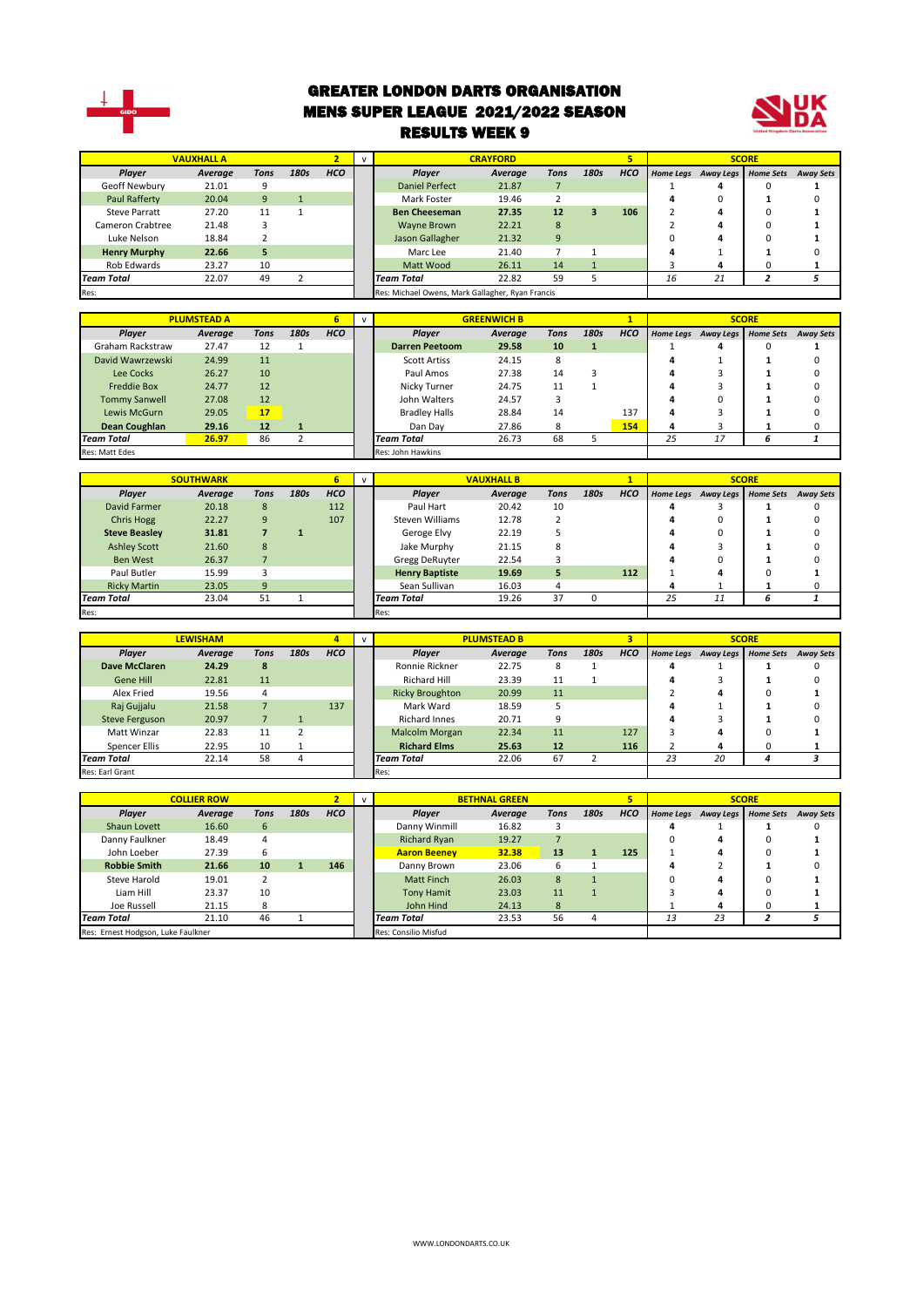

#### GREATER LONDON DARTS ORGANISATION MENS SUPER LEAGUE 2021/2022 SEASON RESULTS WEEK 9



|                      | <b>VAUXHALL A</b> |      |      |            |                                                  | <b>CRAYFORD</b> |      |      | 5          |    |                     | <b>SCORE</b>     |                  |
|----------------------|-------------------|------|------|------------|--------------------------------------------------|-----------------|------|------|------------|----|---------------------|------------------|------------------|
| Player               | Average           | Tons | 180s | <b>HCO</b> | <b>Plaver</b>                                    | Average         | Tons | 180s | <b>HCO</b> |    | Home Legs Away Legs | <b>Home Sets</b> | <b>Away Sets</b> |
| Geoff Newbury        | 21.01             | 9    |      |            | <b>Daniel Perfect</b>                            | 21.87           |      |      |            |    |                     |                  |                  |
| <b>Paul Rafferty</b> | 20.04             | 9    |      |            | Mark Foster                                      | 19.46           |      |      |            |    |                     |                  |                  |
| <b>Steve Parratt</b> | 27.20             | 11   |      |            | <b>Ben Cheeseman</b>                             | 27.35           | 12   | з    | 106        |    |                     |                  |                  |
| Cameron Crabtree     | 21.48             |      |      |            | Wayne Brown                                      | 22.21           | 8    |      |            |    |                     |                  |                  |
| Luke Nelson          | 18.84             |      |      |            | Jason Gallagher                                  | 21.32           | 9    |      |            |    |                     |                  |                  |
| <b>Henry Murphy</b>  | 22.66             | 5    |      |            | Marc Lee                                         | 21.40           |      |      |            |    |                     |                  |                  |
| Rob Edwards          | 23.27             | 10   |      |            | Matt Wood                                        | 26.11           | 14   |      |            |    | д                   |                  |                  |
| Team Total           | 22.07             | 49   |      |            | <b>Team Total</b>                                | 22.82           | 59   |      |            | 16 | 21                  |                  |                  |
| Res:                 |                   |      |      |            | Res: Michael Owens, Mark Gallagher, Ryan Francis |                 |      |      |            |    |                     |                  |                  |
|                      |                   |      |      |            |                                                  |                 |      |      |            |    |                     |                  |                  |

|                      | <b>PLUMSTEAD A</b> |      |      | ь          |                       | <b>GREENWICH B</b> |      |      |            |    |                     | <b>SCORE</b>     |                  |
|----------------------|--------------------|------|------|------------|-----------------------|--------------------|------|------|------------|----|---------------------|------------------|------------------|
| Player               | Average            | Tons | 180s | <b>HCO</b> | <b>Plaver</b>         | Average            | Tons | 180s | <b>HCO</b> |    | Home Legs Away Legs | <b>Home Sets</b> | <b>Away Sets</b> |
| Graham Rackstraw     | 27.47              | 12   |      |            | <b>Darren Peetoom</b> | 29.58              | 10   | 1    |            |    | 4                   | 0                |                  |
| David Wawrzewski     | 24.99              | 11   |      |            | <b>Scott Artiss</b>   | 24.15              | 8    |      |            | 4  |                     |                  |                  |
| Lee Cocks            | 26.27              | 10   |      |            | Paul Amos             | 27.38              | 14   | 3    |            | д  |                     |                  |                  |
| <b>Freddie Box</b>   | 24.77              | 12   |      |            | Nicky Turner          | 24.75              | 11   |      |            | д  |                     |                  |                  |
| <b>Tommy Sanwell</b> | 27.08              | 12   |      |            | John Walters          | 24.57              |      |      |            | Д  |                     |                  |                  |
| Lewis McGurn         | 29.05              | 17   |      |            | <b>Bradley Halls</b>  | 28.84              | 14   |      | 137        | 4  |                     |                  |                  |
| Dean Coughlan        | 29.16              | 12   |      |            | Dan Dav               | 27.86              | 8    |      | 154        | 4  |                     |                  |                  |
| <b>Team Total</b>    | 26.97              | 86   |      |            | <b>Team Total</b>     | 26.73              | 68   |      |            | 25 | 17                  |                  |                  |
| Res: Matt Edes       |                    |      |      |            | Res: John Hawkins     |                    |      |      |            |    |                     |                  |                  |

|                      | <b>SOUTHWARK</b> |      |      |            | $\mathbf{v}$ |                            | <b>VAUXHALL B</b> |      |      |            |    |                     | <b>SCORE</b>     |                  |
|----------------------|------------------|------|------|------------|--------------|----------------------------|-------------------|------|------|------------|----|---------------------|------------------|------------------|
| Player               | Average          | Tons | 180s | <b>HCO</b> |              | Player                     | Average           | Tons | 180s | <b>HCO</b> |    | Home Legs Away Legs | <b>Home Sets</b> | <b>Away Sets</b> |
| David Farmer         | 20.18            | 8    |      | 112        |              | Paul Hart                  | 20.42             | 10   |      |            |    |                     |                  |                  |
| Chris Hogg           | 22.27            | 9    |      | 107        |              | Steven Williams            | 12.78             |      |      |            |    | U                   |                  | ш                |
| <b>Steve Beasley</b> | 31.81            |      |      |            |              | Geroge Elvy                | 22.19             |      |      |            |    | 0                   |                  |                  |
| <b>Ashley Scott</b>  | 21.60            | 8    |      |            |              | Jake Murphy                | 21.15             | 8    |      |            |    |                     |                  |                  |
| <b>Ben West</b>      | 26.37            |      |      |            |              | Gregg DeRuyter             | 22.54             |      |      |            |    | O                   |                  |                  |
| Paul Butler          | 15.99            |      |      |            |              | <b>Henry Baptiste</b>      | 19.69             | 5    |      | 112        |    | 4                   |                  |                  |
| <b>Ricky Martin</b>  | 23.05            | 9    |      |            |              | Sean Sullivan              | 16.03             |      |      |            |    |                     |                  |                  |
| <b>Team Total</b>    | 23.04            | 51   |      |            |              | 19.26<br><b>Team Total</b> |                   | 37   |      |            | 25 | 11                  | h                |                  |
| Res:                 |                  |      |      |            |              | Res:                       |                   |      |      |            |    |                     |                  |                  |

|                       |                 |      |      |            |                        |                    |             |      |            |                  |                     | <b>SCORE</b> |                  |
|-----------------------|-----------------|------|------|------------|------------------------|--------------------|-------------|------|------------|------------------|---------------------|--------------|------------------|
|                       | <b>LEWISHAM</b> |      |      | 4          |                        | <b>PLUMSTEAD B</b> |             |      | 3          |                  |                     |              |                  |
| Player                | Average         | Tons | 180s | <b>HCO</b> | <b>Plaver</b>          | Average            | <b>Tons</b> | 180s | <b>HCO</b> | <b>Home Legs</b> | Away Legs Home Sets |              | <b>Away Sets</b> |
| Dave McClaren         | 24.29           | 8    |      |            | Ronnie Rickner         | 22.75              | 8           |      |            |                  |                     |              |                  |
| Gene Hill             | 22.81           | 11   |      |            | Richard Hill           | 23.39              | 11          |      |            |                  |                     |              |                  |
| Alex Fried            | 19.56           | 4    |      |            | <b>Ricky Broughton</b> | 20.99              | 11          |      |            |                  | 4                   |              |                  |
| Raj Gujjalu           | 21.58           |      |      | 137        | Mark Ward              | 18.59              |             |      |            |                  |                     |              |                  |
| <b>Steve Ferguson</b> | 20.97           |      |      |            | Richard Innes          | 20.71              |             |      |            |                  |                     |              |                  |
| Matt Winzar           | 22.83           | 11   |      |            | <b>Malcolm Morgan</b>  | 22.34              | 11          |      | 127        |                  | 4                   |              |                  |
| Spencer Ellis         | 22.95           | 10   |      |            | <b>Richard Elms</b>    | 25.63              | 12          |      | 116        |                  | 4                   |              |                  |
| <b>Team Total</b>     | 22.14           | 58   |      |            | <b>Team Total</b>      | 22.06              | 67          |      |            | 23               | 20                  |              |                  |
| Res: Earl Grant       |                 |      |      |            | Res:                   |                    |             |      |            |                  |                     |              |                  |

|                                    | <b>COLLIER ROW</b> |      |      |            |                              | <b>BETHNAL GREEN</b> |      |      |            |                  |           | <b>SCORE</b>     |                  |
|------------------------------------|--------------------|------|------|------------|------------------------------|----------------------|------|------|------------|------------------|-----------|------------------|------------------|
| Player                             | Average            | Tons | 180s | <b>HCO</b> | Player                       | Average              | Tons | 180s | <b>HCO</b> | <b>Home Legs</b> | Away Legs | <b>Home Sets</b> | <b>Away Sets</b> |
| Shaun Lovett                       | 16.60              | 6    |      |            | Danny Winmill                | 16.82                |      |      |            |                  |           |                  |                  |
| Danny Faulkner                     | 18.49              | 4    |      |            | <b>Richard Rvan</b><br>19.27 |                      |      |      |            | 0                |           |                  |                  |
| John Loeber                        | 27.39              | 6    |      |            | <b>Aaron Beeney</b>          | 32.38                | 13   |      | 125        |                  |           |                  |                  |
| <b>Robbie Smith</b>                | 21.66              | 10   |      | 146        | Danny Brown                  | 23.06                | 6    |      |            |                  |           |                  |                  |
| Steve Harold                       | 19.01              |      |      |            | <b>Matt Finch</b>            | 26.03                | 8    |      |            | 0                |           |                  |                  |
| Liam Hill                          | 23.37              | 10   |      |            | <b>Tony Hamit</b>            | 23.03                | 11   |      |            |                  |           |                  |                  |
| Joe Russell                        | 21.15              | 8    |      |            | John Hind                    | 24.13                | 8    |      |            |                  |           |                  |                  |
| <b>Team Total</b>                  | 21.10              | 46   |      |            | 23.53<br><b>Team Total</b>   |                      | 56   | 4    |            | 13               | 23        |                  |                  |
| Res: Ernest Hodgson, Luke Faulkner |                    |      |      |            | Res: Consilio Misfud         |                      |      |      |            |                  |           |                  |                  |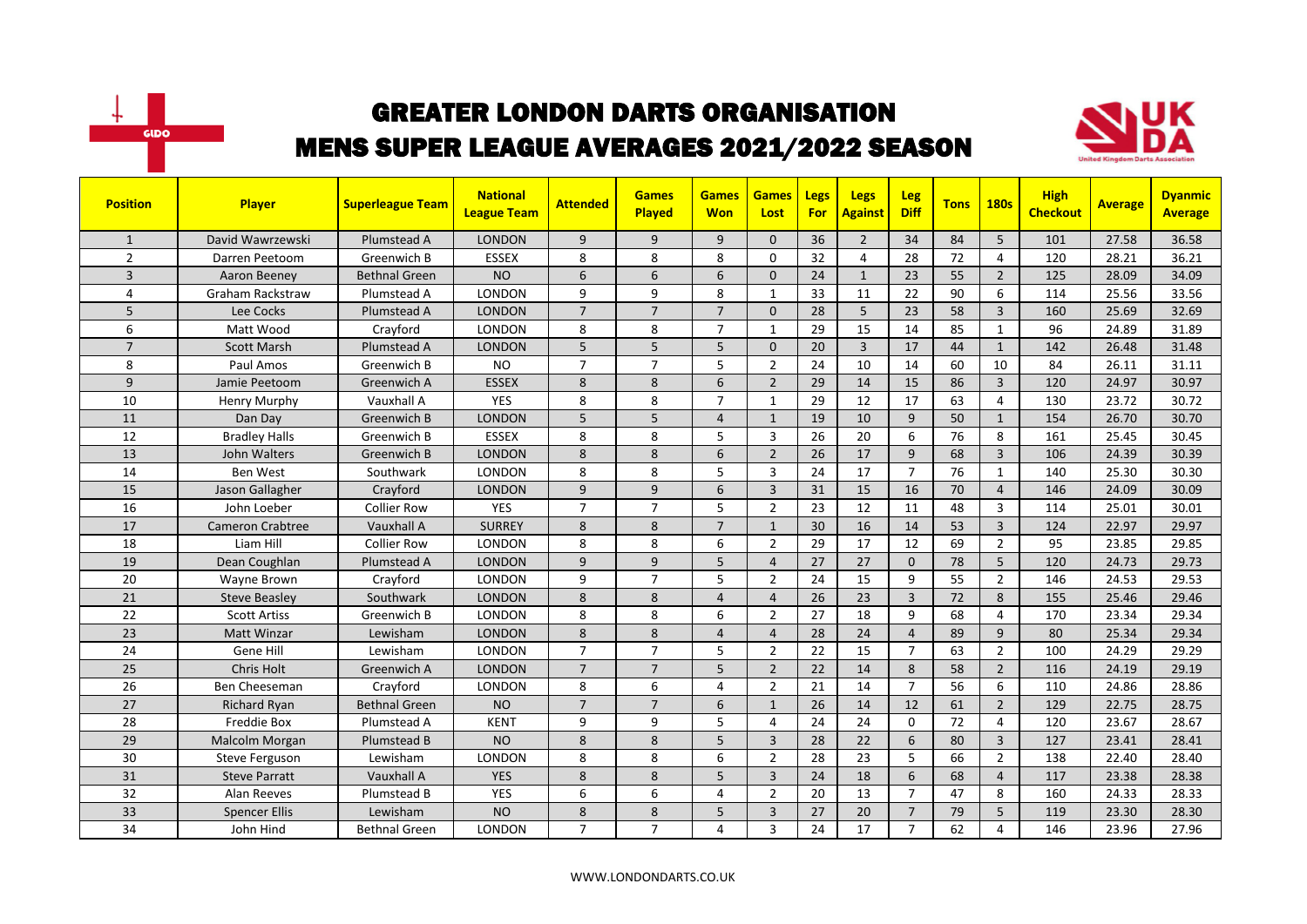



| <b>Position</b> | Player                  | <b>Superleague Team</b> | <b>National</b><br><b>League Team</b> | <b>Attended</b> | <b>Games</b><br>Played | <b>Games</b><br><b>Won</b> | <b>Games</b><br>Lost | Legs<br>For | <b>Legs</b><br><b>Against</b> | Leg<br><b>Diff</b> | <b>Tons</b> | <b>180s</b>    | <b>High</b><br><b>Checkout</b> | <b>Average</b> | <b>Dyanmic</b><br><b>Average</b> |
|-----------------|-------------------------|-------------------------|---------------------------------------|-----------------|------------------------|----------------------------|----------------------|-------------|-------------------------------|--------------------|-------------|----------------|--------------------------------|----------------|----------------------------------|
| $\mathbf{1}$    | David Wawrzewski        | Plumstead A             | <b>LONDON</b>                         | 9               | 9                      | 9                          | $\Omega$             | 36          | $\overline{2}$                | 34                 | 84          | 5              | 101                            | 27.58          | 36.58                            |
| $\overline{2}$  | Darren Peetoom          | Greenwich B             | <b>ESSEX</b>                          | 8               | 8                      | 8                          | $\Omega$             | 32          | $\overline{4}$                | 28                 | 72          | 4              | 120                            | 28.21          | 36.21                            |
| 3               | Aaron Beeney            | Bethnal Green           | <b>NO</b>                             | 6               | 6                      | 6                          | $\mathbf{0}$         | 24          | $\mathbf{1}$                  | 23                 | 55          | $\overline{2}$ | 125                            | 28.09          | 34.09                            |
| 4               | <b>Graham Rackstraw</b> | Plumstead A             | LONDON                                | 9               | 9                      | 8                          | $\mathbf{1}$         | 33          | 11                            | 22                 | 90          | 6              | 114                            | 25.56          | 33.56                            |
| 5               | Lee Cocks               | Plumstead A             | <b>LONDON</b>                         | $\overline{7}$  | $\overline{7}$         | $\overline{7}$             | $\Omega$             | 28          | 5                             | 23                 | 58          | $\overline{3}$ | 160                            | 25.69          | 32.69                            |
| 6               | Matt Wood               | Crayford                | <b>LONDON</b>                         | 8               | 8                      | $\overline{7}$             | $\mathbf{1}$         | 29          | 15                            | 14                 | 85          | $\mathbf{1}$   | 96                             | 24.89          | 31.89                            |
| $\overline{7}$  | <b>Scott Marsh</b>      | Plumstead A             | <b>LONDON</b>                         | 5               | 5                      | 5                          | $\mathbf{0}$         | 20          | 3                             | 17                 | 44          | $\mathbf{1}$   | 142                            | 26.48          | 31.48                            |
| 8               | Paul Amos               | Greenwich B             | <b>NO</b>                             | $\overline{7}$  | $\overline{7}$         | 5                          | $\overline{2}$       | 24          | 10                            | 14                 | 60          | 10             | 84                             | 26.11          | 31.11                            |
| 9               | Jamie Peetoom           | Greenwich A             | <b>ESSEX</b>                          | 8               | 8                      | 6                          | $\overline{2}$       | 29          | 14                            | 15                 | 86          | $\overline{3}$ | 120                            | 24.97          | 30.97                            |
| 10              | <b>Henry Murphy</b>     | Vauxhall A              | <b>YES</b>                            | 8               | 8                      | $\overline{7}$             | $\mathbf{1}$         | 29          | 12                            | 17                 | 63          | $\overline{4}$ | 130                            | 23.72          | 30.72                            |
| 11              | Dan Day                 | Greenwich B             | <b>LONDON</b>                         | 5               | 5                      | $\overline{4}$             | $\mathbf{1}$         | 19          | 10                            | 9                  | 50          | $\mathbf{1}$   | 154                            | 26.70          | 30.70                            |
| 12              | <b>Bradley Halls</b>    | Greenwich B             | <b>ESSEX</b>                          | 8               | 8                      | 5                          | 3                    | 26          | 20                            | 6                  | 76          | 8              | 161                            | 25.45          | 30.45                            |
| 13              | John Walters            | Greenwich B             | <b>LONDON</b>                         | 8               | 8                      | 6                          | $\overline{2}$       | 26          | 17                            | 9                  | 68          | $\overline{3}$ | 106                            | 24.39          | 30.39                            |
| 14              | <b>Ben West</b>         | Southwark               | <b>LONDON</b>                         | 8               | 8                      | 5                          | $\overline{3}$       | 24          | 17                            | $\overline{7}$     | 76          | $\mathbf{1}$   | 140                            | 25.30          | 30.30                            |
| 15              | Jason Gallagher         | Crayford                | <b>LONDON</b>                         | 9               | 9                      | 6                          | $\overline{3}$       | 31          | 15                            | 16                 | 70          | $\overline{4}$ | 146                            | 24.09          | 30.09                            |
| 16              | John Loeber             | <b>Collier Row</b>      | <b>YES</b>                            | $\overline{7}$  | $\overline{7}$         | 5                          | $\overline{2}$       | 23          | 12                            | 11                 | 48          | 3              | 114                            | 25.01          | 30.01                            |
| 17              | <b>Cameron Crabtree</b> | Vauxhall A              | <b>SURREY</b>                         | 8               | 8                      | $\overline{7}$             | $\mathbf{1}$         | 30          | 16                            | 14                 | 53          | $\overline{3}$ | 124                            | 22.97          | 29.97                            |
| 18              | Liam Hill               | <b>Collier Row</b>      | <b>LONDON</b>                         | 8               | 8                      | 6                          | $\overline{2}$       | 29          | 17                            | 12                 | 69          | $\overline{2}$ | 95                             | 23.85          | 29.85                            |
| 19              | Dean Coughlan           | Plumstead A             | <b>LONDON</b>                         | 9               | 9                      | 5                          | $\overline{4}$       | 27          | 27                            | $\Omega$           | 78          | 5              | 120                            | 24.73          | 29.73                            |
| 20              | Wayne Brown             | Crayford                | <b>LONDON</b>                         | 9               | $\overline{7}$         | 5                          | $\overline{2}$       | 24          | 15                            | 9                  | 55          | $\overline{2}$ | 146                            | 24.53          | 29.53                            |
| 21              | Steve Beasley           | Southwark               | <b>LONDON</b>                         | 8               | 8                      | 4                          | $\overline{4}$       | 26          | 23                            | $\overline{3}$     | 72          | 8              | 155                            | 25.46          | 29.46                            |
| 22              | <b>Scott Artiss</b>     | Greenwich B             | <b>LONDON</b>                         | 8               | 8                      | 6                          | $\overline{2}$       | 27          | 18                            | 9                  | 68          | 4              | 170                            | 23.34          | 29.34                            |
| 23              | <b>Matt Winzar</b>      | Lewisham                | <b>LONDON</b>                         | 8               | 8                      | $\overline{4}$             | $\overline{4}$       | 28          | 24                            | $\overline{4}$     | 89          | 9              | 80                             | 25.34          | 29.34                            |
| 24              | Gene Hill               | Lewisham                | LONDON                                | $\overline{7}$  | $\overline{7}$         | 5                          | $\overline{2}$       | 22          | 15                            | $\overline{7}$     | 63          | $\overline{2}$ | 100                            | 24.29          | 29.29                            |
| 25              | Chris Holt              | Greenwich A             | <b>LONDON</b>                         | $\overline{7}$  | $\overline{7}$         | 5                          | $\overline{2}$       | 22          | 14                            | 8                  | 58          | $\overline{2}$ | 116                            | 24.19          | 29.19                            |
| 26              | Ben Cheeseman           | Crayford                | <b>LONDON</b>                         | 8               | 6                      | 4                          | $\overline{2}$       | 21          | 14                            | $\overline{7}$     | 56          | 6              | 110                            | 24.86          | 28.86                            |
| 27              | <b>Richard Ryan</b>     | <b>Bethnal Green</b>    | <b>NO</b>                             | $\overline{7}$  | $\overline{7}$         | 6                          | $\mathbf{1}$         | 26          | 14                            | 12                 | 61          | $\overline{2}$ | 129                            | 22.75          | 28.75                            |
| 28              | Freddie Box             | Plumstead A             | <b>KENT</b>                           | 9               | 9                      | 5                          | 4                    | 24          | 24                            | $\mathbf 0$        | 72          | 4              | 120                            | 23.67          | 28.67                            |
| 29              | Malcolm Morgan          | Plumstead B             | <b>NO</b>                             | 8               | 8                      | 5                          | 3                    | 28          | 22                            | 6                  | 80          | $\overline{3}$ | 127                            | 23.41          | 28.41                            |
| 30              | <b>Steve Ferguson</b>   | Lewisham                | <b>LONDON</b>                         | 8               | 8                      | 6                          | $\overline{2}$       | 28          | 23                            | 5                  | 66          | $\overline{2}$ | 138                            | 22.40          | 28.40                            |
| 31              | <b>Steve Parratt</b>    | Vauxhall A              | <b>YES</b>                            | 8               | 8                      | 5                          | $\overline{3}$       | 24          | 18                            | 6                  | 68          | $\overline{4}$ | 117                            | 23.38          | 28.38                            |
| 32              | Alan Reeves             | Plumstead B             | YES                                   | 6               | 6                      | 4                          | $\overline{2}$       | 20          | 13                            | $\overline{7}$     | 47          | 8              | 160                            | 24.33          | 28.33                            |
| 33              | <b>Spencer Ellis</b>    | Lewisham                | <b>NO</b>                             | 8               | 8                      | 5                          | $\overline{3}$       | 27          | 20                            | $\overline{7}$     | 79          | 5              | 119                            | 23.30          | 28.30                            |
| 34              | John Hind               | <b>Bethnal Green</b>    | LONDON                                | $\overline{7}$  | $\overline{7}$         | 4                          | 3                    | 24          | 17                            | $\overline{7}$     | 62          | 4              | 146                            | 23.96          | 27.96                            |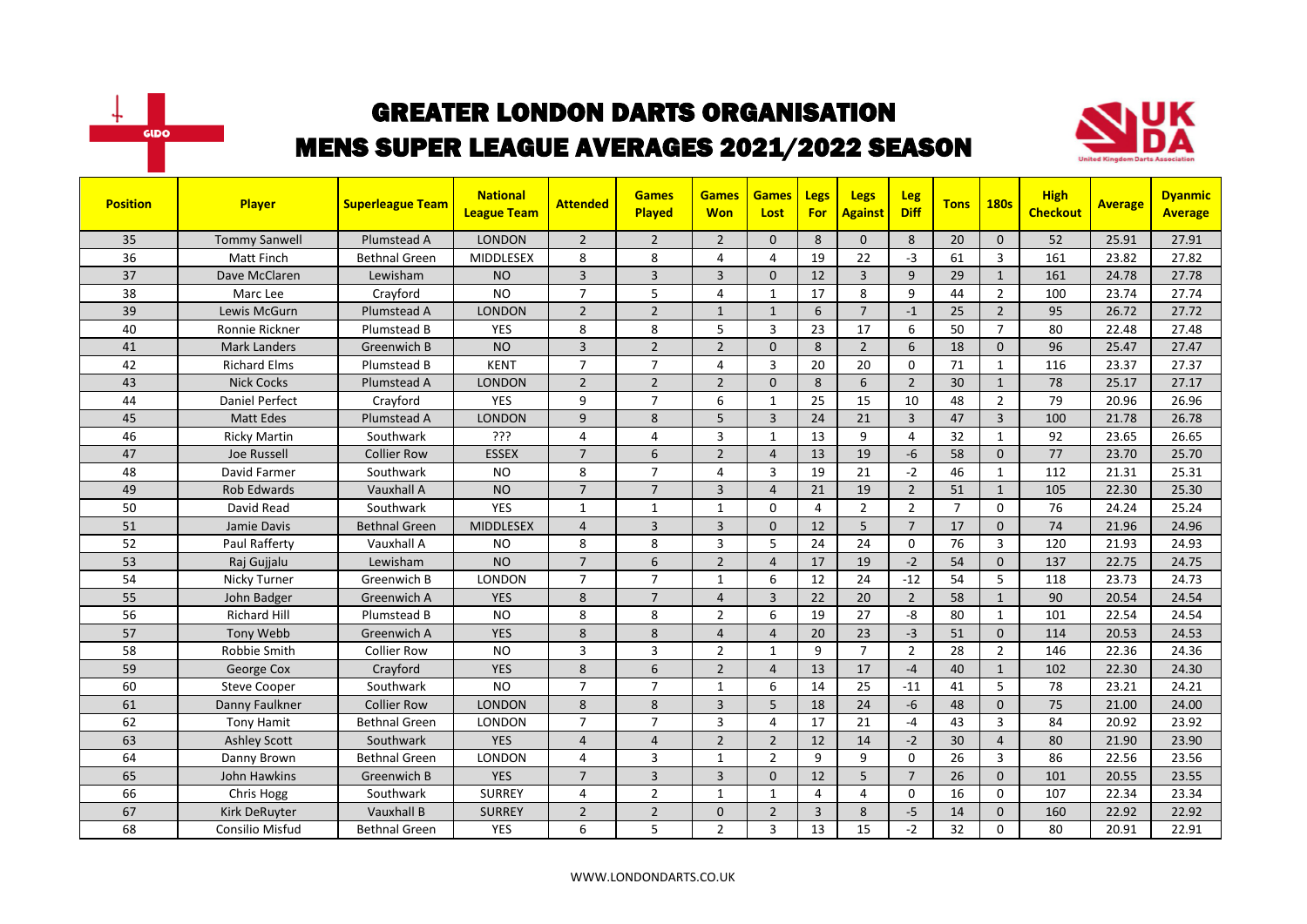



| <b>Position</b> | Player                | <b>Superleague Team</b> | <b>National</b><br><b>League Team</b> | <b>Attended</b> | <b>Games</b><br><b>Played</b> | <b>Games</b><br><b>Won</b> | <b>Games</b><br>Lost | Legs<br><b>For</b> | <b>Legs</b><br><b>Against</b> | <b>Leg</b><br><b>Diff</b> | <b>Tons</b>    | <b>180s</b>    | <b>High</b><br><b>Checkout</b> | <b>Average</b> | <b>Dyanmic</b><br><b>Average</b> |
|-----------------|-----------------------|-------------------------|---------------------------------------|-----------------|-------------------------------|----------------------------|----------------------|--------------------|-------------------------------|---------------------------|----------------|----------------|--------------------------------|----------------|----------------------------------|
| 35              | <b>Tommy Sanwell</b>  | Plumstead A             | <b>LONDON</b>                         | $\overline{2}$  | $\overline{2}$                | $\overline{2}$             | $\mathbf{0}$         | 8                  | $\mathbf{0}$                  | 8                         | 20             | $\Omega$       | 52                             | 25.91          | 27.91                            |
| 36              | Matt Finch            | <b>Bethnal Green</b>    | <b>MIDDLESEX</b>                      | 8               | 8                             | 4                          | 4                    | 19                 | 22                            | $-3$                      | 61             | 3              | 161                            | 23.82          | 27.82                            |
| 37              | Dave McClaren         | Lewisham                | <b>NO</b>                             | 3               | $\overline{3}$                | 3                          | $\mathbf{0}$         | 12                 | 3                             | 9                         | 29             | $\mathbf{1}$   | 161                            | 24.78          | 27.78                            |
| 38              | Marc Lee              | Crayford                | <b>NO</b>                             | $\overline{7}$  | 5                             | 4                          | $\mathbf{1}$         | 17                 | 8                             | 9                         | 44             | $\overline{2}$ | 100                            | 23.74          | 27.74                            |
| 39              | Lewis McGurn          | Plumstead A             | <b>LONDON</b>                         | $\overline{2}$  | $\overline{2}$                | $\mathbf{1}$               | $\mathbf{1}$         | 6                  | $\overline{7}$                | $-1$                      | 25             | $\overline{2}$ | 95                             | 26.72          | 27.72                            |
| 40              | Ronnie Rickner        | Plumstead B             | <b>YES</b>                            | 8               | 8                             | 5                          | 3                    | 23                 | 17                            | 6                         | 50             | $\overline{7}$ | 80                             | 22.48          | 27.48                            |
| 41              | <b>Mark Landers</b>   | Greenwich B             | <b>NO</b>                             | $\overline{3}$  | $\overline{2}$                | $\overline{2}$             | $\mathbf{0}$         | 8                  | $\overline{2}$                | 6                         | 18             | $\mathbf{0}$   | 96                             | 25.47          | 27.47                            |
| 42              | <b>Richard Elms</b>   | Plumstead B             | <b>KENT</b>                           | $\overline{7}$  | $\overline{7}$                | 4                          | 3                    | 20                 | 20                            | $\mathbf 0$               | 71             | $\mathbf{1}$   | 116                            | 23.37          | 27.37                            |
| 43              | <b>Nick Cocks</b>     | Plumstead A             | <b>LONDON</b>                         | $\overline{2}$  | $\overline{2}$                | $\overline{2}$             | $\Omega$             | 8                  | 6                             | $\overline{2}$            | 30             | $\mathbf{1}$   | 78                             | 25.17          | 27.17                            |
| 44              | <b>Daniel Perfect</b> | Crayford                | <b>YES</b>                            | 9               | $\overline{7}$                | 6                          | $\mathbf{1}$         | 25                 | 15                            | 10                        | 48             | $\overline{2}$ | 79                             | 20.96          | 26.96                            |
| 45              | <b>Matt Edes</b>      | Plumstead A             | <b>LONDON</b>                         | 9               | 8                             | 5                          | 3                    | 24                 | 21                            | $\overline{3}$            | 47             | $\overline{3}$ | 100                            | 21.78          | 26.78                            |
| 46              | <b>Ricky Martin</b>   | Southwark               | ???                                   | 4               | $\overline{4}$                | 3                          | $\mathbf{1}$         | 13                 | 9                             | $\overline{4}$            | 32             | $\mathbf{1}$   | 92                             | 23.65          | 26.65                            |
| 47              | Joe Russell           | <b>Collier Row</b>      | <b>ESSEX</b>                          | $\overline{7}$  | 6                             | $\overline{2}$             | $\overline{4}$       | 13                 | 19                            | $-6$                      | 58             | $\Omega$       | 77                             | 23.70          | 25.70                            |
| 48              | David Farmer          | Southwark               | <b>NO</b>                             | 8               | $\overline{7}$                | 4                          | $\overline{3}$       | 19                 | 21                            | $-2$                      | 46             | $\mathbf{1}$   | 112                            | 21.31          | 25.31                            |
| 49              | <b>Rob Edwards</b>    | Vauxhall A              | <b>NO</b>                             | $\overline{7}$  | $\overline{7}$                | $\overline{3}$             | $\overline{4}$       | 21                 | 19                            | $\overline{2}$            | 51             | $\mathbf{1}$   | 105                            | 22.30          | 25.30                            |
| 50              | David Read            | Southwark               | <b>YES</b>                            | $\mathbf{1}$    | $\mathbf{1}$                  | 1                          | $\Omega$             | $\overline{4}$     | $\overline{2}$                | $\overline{2}$            | $\overline{7}$ | $\Omega$       | 76                             | 24.24          | 25.24                            |
| 51              | Jamie Davis           | <b>Bethnal Green</b>    | <b>MIDDLESEX</b>                      | $\overline{4}$  | $\overline{3}$                | $\overline{3}$             | $\Omega$             | 12                 | 5                             | $\overline{7}$            | 17             | $\Omega$       | 74                             | 21.96          | 24.96                            |
| 52              | Paul Rafferty         | Vauxhall A              | <b>NO</b>                             | 8               | 8                             | 3                          | 5                    | 24                 | 24                            | $\Omega$                  | 76             | $\overline{3}$ | 120                            | 21.93          | 24.93                            |
| 53              | Raj Gujjalu           | Lewisham                | <b>NO</b>                             | $\overline{7}$  | 6                             | $\overline{2}$             | $\overline{4}$       | 17                 | 19                            | $-2$                      | 54             | $\mathbf{0}$   | 137                            | 22.75          | 24.75                            |
| 54              | Nicky Turner          | Greenwich B             | LONDON                                | $\overline{7}$  | $\overline{7}$                | 1                          | 6                    | 12                 | 24                            | $-12$                     | 54             | 5              | 118                            | 23.73          | 24.73                            |
| 55              | John Badger           | Greenwich A             | <b>YES</b>                            | 8               | $\overline{7}$                | $\overline{4}$             | $\overline{3}$       | 22                 | 20                            | $\overline{2}$            | 58             | $\mathbf{1}$   | 90                             | 20.54          | 24.54                            |
| 56              | <b>Richard Hill</b>   | Plumstead B             | <b>NO</b>                             | 8               | 8                             | $\overline{2}$             | 6                    | 19                 | 27                            | -8                        | 80             | 1              | 101                            | 22.54          | 24.54                            |
| 57              | Tony Webb             | Greenwich A             | <b>YES</b>                            | 8               | 8                             | $\overline{4}$             | $\overline{4}$       | 20                 | 23                            | $-3$                      | 51             | $\mathbf{0}$   | 114                            | 20.53          | 24.53                            |
| 58              | Robbie Smith          | <b>Collier Row</b>      | <b>NO</b>                             | 3               | $\overline{3}$                | $\overline{2}$             | 1                    | 9                  | $\overline{7}$                | $\overline{2}$            | 28             | $\overline{2}$ | 146                            | 22.36          | 24.36                            |
| 59              | George Cox            | Crayford                | <b>YES</b>                            | 8               | 6                             | $\overline{2}$             | $\overline{4}$       | 13                 | 17                            | $-4$                      | 40             | $\mathbf{1}$   | 102                            | 22.30          | 24.30                            |
| 60              | <b>Steve Cooper</b>   | Southwark               | <b>NO</b>                             | $\overline{7}$  | $\overline{7}$                | $\mathbf{1}$               | 6                    | 14                 | 25                            | $-11$                     | 41             | 5              | 78                             | 23.21          | 24.21                            |
| 61              | Danny Faulkner        | <b>Collier Row</b>      | <b>LONDON</b>                         | 8               | 8                             | $\overline{3}$             | 5                    | 18                 | 24                            | $-6$                      | 48             | $\mathbf{0}$   | 75                             | 21.00          | 24.00                            |
| 62              | <b>Tony Hamit</b>     | <b>Bethnal Green</b>    | LONDON                                | $\overline{7}$  | $\overline{7}$                | 3                          | 4                    | 17                 | 21                            | $-4$                      | 43             | 3              | 84                             | 20.92          | 23.92                            |
| 63              | <b>Ashley Scott</b>   | Southwark               | <b>YES</b>                            | $\overline{4}$  | $\overline{4}$                | $\overline{2}$             | $\overline{2}$       | 12                 | 14                            | $-2$                      | 30             | $\overline{4}$ | 80                             | 21.90          | 23.90                            |
| 64              | Danny Brown           | <b>Bethnal Green</b>    | <b>LONDON</b>                         | 4               | $\overline{3}$                | $\mathbf{1}$               | $\overline{2}$       | 9                  | 9                             | $\mathbf{0}$              | 26             | $\overline{3}$ | 86                             | 22.56          | 23.56                            |
| 65              | John Hawkins          | Greenwich B             | <b>YES</b>                            | $\overline{7}$  | $\overline{3}$                | $\overline{3}$             | $\Omega$             | 12                 | 5                             | $\overline{7}$            | 26             | $\Omega$       | 101                            | 20.55          | 23.55                            |
| 66              | Chris Hogg            | Southwark               | <b>SURREY</b>                         | 4               | $\overline{2}$                | $\mathbf{1}$               | 1                    | $\overline{4}$     | 4                             | 0                         | 16             | $\mathbf 0$    | 107                            | 22.34          | 23.34                            |
| 67              | Kirk DeRuyter         | Vauxhall B              | <b>SURREY</b>                         | $\overline{2}$  | $\overline{2}$                | 0                          | $\overline{2}$       | 3                  | 8                             | $-5$                      | 14             | $\Omega$       | 160                            | 22.92          | 22.92                            |
| 68              | Consilio Misfud       | <b>Bethnal Green</b>    | <b>YES</b>                            | 6               | 5                             | $\overline{2}$             | 3                    | 13                 | 15                            | $-2$                      | 32             | $\Omega$       | 80                             | 20.91          | 22.91                            |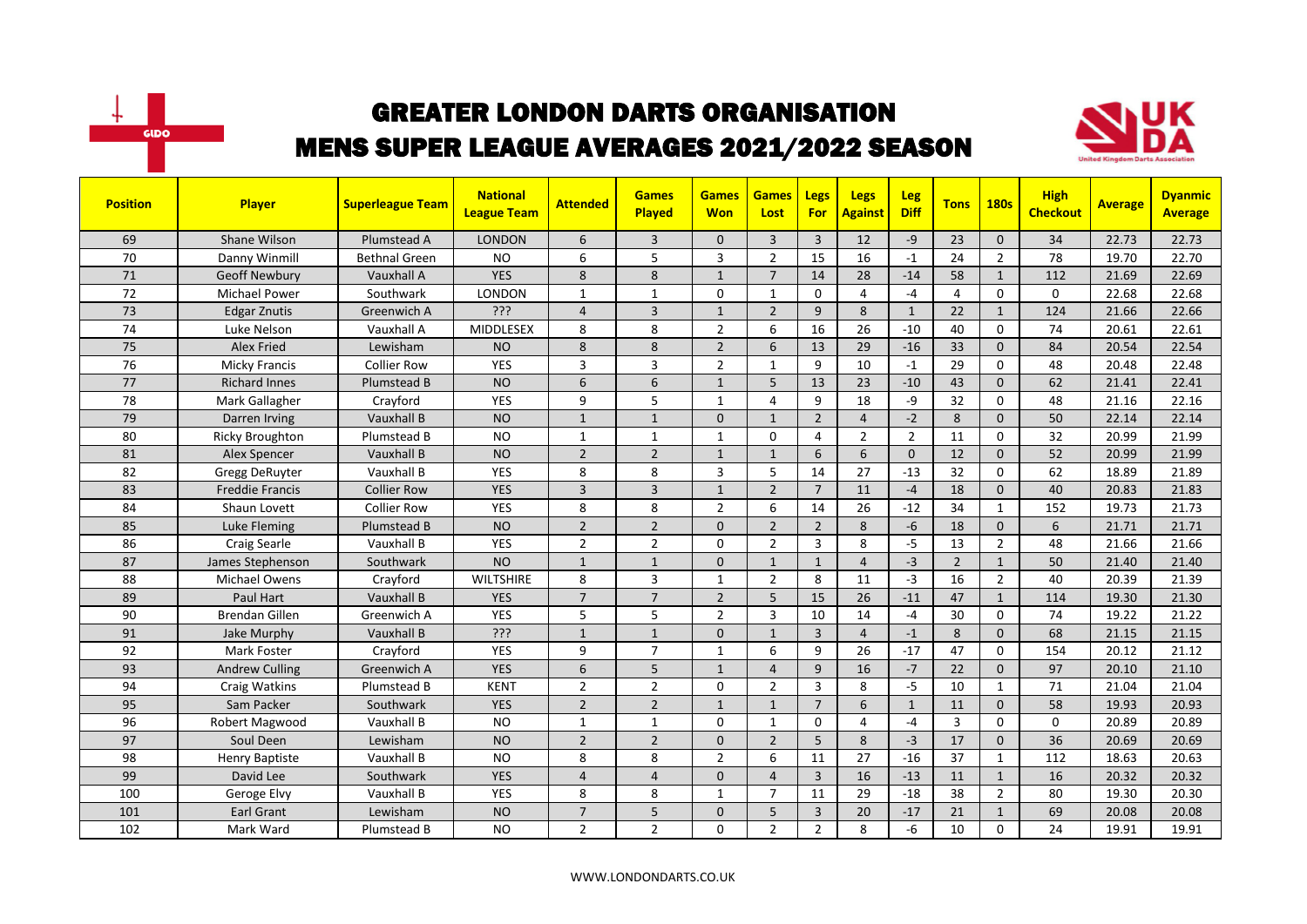



| <b>Position</b> | Player                 | <b>Superleague Team</b> | <b>National</b><br><b>League Team</b> | <b>Attended</b> | <b>Games</b><br><b>Played</b> | <b>Games</b><br><b>Won</b> | <b>Games</b><br>Lost | Legs<br><b>For</b> | <b>Legs</b><br><b>Against</b> | <b>Leg</b><br><b>Diff</b> | <b>Tons</b>    | <b>180s</b>    | <b>High</b><br><b>Checkout</b> | <b>Average</b> | <b>Dyanmic</b><br><b>Average</b> |
|-----------------|------------------------|-------------------------|---------------------------------------|-----------------|-------------------------------|----------------------------|----------------------|--------------------|-------------------------------|---------------------------|----------------|----------------|--------------------------------|----------------|----------------------------------|
| 69              | Shane Wilson           | Plumstead A             | <b>LONDON</b>                         | 6               | $\overline{3}$                | 0                          | 3                    | $\overline{3}$     | 12                            | $-9$                      | 23             | $\Omega$       | 34                             | 22.73          | 22.73                            |
| 70              | Danny Winmill          | <b>Bethnal Green</b>    | <b>NO</b>                             | 6               | 5                             | 3                          | $\overline{2}$       | 15                 | 16                            | $-1$                      | 24             | $\overline{2}$ | 78                             | 19.70          | 22.70                            |
| 71              | <b>Geoff Newbury</b>   | Vauxhall A              | <b>YES</b>                            | 8               | 8                             | $\mathbf{1}$               | $\overline{7}$       | 14                 | 28                            | $-14$                     | 58             | $\mathbf{1}$   | 112                            | 21.69          | 22.69                            |
| 72              | <b>Michael Power</b>   | Southwark               | LONDON                                | $\mathbf{1}$    | $\mathbf{1}$                  | 0                          | $\mathbf{1}$         | $\mathbf 0$        | 4                             | $-4$                      | $\overline{4}$ | $\mathbf 0$    | $\mathbf 0$                    | 22.68          | 22.68                            |
| 73              | <b>Edgar Znutis</b>    | Greenwich A             | ???                                   | $\overline{4}$  | $\overline{3}$                | $\mathbf{1}$               | $\overline{2}$       | 9                  | 8                             | $\mathbf{1}$              | 22             | $\mathbf{1}$   | 124                            | 21.66          | 22.66                            |
| 74              | Luke Nelson            | Vauxhall A              | <b>MIDDLESEX</b>                      | 8               | 8                             | $\overline{2}$             | 6                    | 16                 | 26                            | $-10$                     | 40             | $\Omega$       | 74                             | 20.61          | 22.61                            |
| 75              | <b>Alex Fried</b>      | Lewisham                | <b>NO</b>                             | 8               | 8                             | $\mathbf 2$                | 6                    | 13                 | 29                            | $-16$                     | 33             | $\mathbf{0}$   | 84                             | 20.54          | 22.54                            |
| 76              | <b>Micky Francis</b>   | <b>Collier Row</b>      | <b>YES</b>                            | 3               | $\overline{3}$                | $\overline{2}$             | $\mathbf{1}$         | 9                  | 10                            | $-1$                      | 29             | $\Omega$       | 48                             | 20.48          | 22.48                            |
| 77              | <b>Richard Innes</b>   | Plumstead B             | <b>NO</b>                             | 6               | 6                             | $\mathbf{1}$               | 5                    | 13                 | 23                            | $-10$                     | 43             | $\Omega$       | 62                             | 21.41          | 22.41                            |
| 78              | Mark Gallagher         | Crayford                | <b>YES</b>                            | 9               | 5                             | $\mathbf{1}$               | $\overline{4}$       | 9                  | 18                            | -9                        | 32             | $\Omega$       | 48                             | 21.16          | 22.16                            |
| 79              | Darren Irving          | Vauxhall B              | <b>NO</b>                             | $\mathbf{1}$    | $\mathbf{1}$                  | 0                          | $\mathbf{1}$         | $\overline{2}$     | $\overline{4}$                | $-2$                      | 8              | $\mathbf{0}$   | 50                             | 22.14          | 22.14                            |
| 80              | <b>Ricky Broughton</b> | Plumstead B             | <b>NO</b>                             | $\mathbf{1}$    | $\mathbf{1}$                  | $\mathbf{1}$               | $\mathbf 0$          | $\overline{4}$     | $\overline{2}$                | $\overline{2}$            | 11             | $\Omega$       | 32                             | 20.99          | 21.99                            |
| 81              | Alex Spencer           | Vauxhall B              | <b>NO</b>                             | $\overline{2}$  | $\overline{2}$                | $\mathbf{1}$               | $\mathbf{1}$         | 6                  | 6                             | $\Omega$                  | 12             | $\Omega$       | 52                             | 20.99          | 21.99                            |
| 82              | Gregg DeRuyter         | Vauxhall B              | <b>YES</b>                            | 8               | 8                             | 3                          | 5                    | 14                 | 27                            | $-13$                     | 32             | $\Omega$       | 62                             | 18.89          | 21.89                            |
| 83              | <b>Freddie Francis</b> | <b>Collier Row</b>      | <b>YES</b>                            | $\overline{3}$  | $\overline{3}$                | $\mathbf{1}$               | $\overline{2}$       | $\overline{7}$     | 11                            | $-4$                      | 18             | $\mathbf 0$    | 40                             | 20.83          | 21.83                            |
| 84              | Shaun Lovett           | <b>Collier Row</b>      | YES                                   | 8               | 8                             | $\overline{2}$             | 6                    | 14                 | 26                            | $-12$                     | 34             | $\mathbf{1}$   | 152                            | 19.73          | 21.73                            |
| 85              | <b>Luke Fleming</b>    | Plumstead B             | <b>NO</b>                             | $\overline{2}$  | $\overline{2}$                | $\Omega$                   | $\overline{2}$       | $\overline{2}$     | 8                             | $-6$                      | 18             | $\Omega$       | 6                              | 21.71          | 21.71                            |
| 86              | Craig Searle           | Vauxhall B              | YES                                   | $\overline{2}$  | $\overline{2}$                | $\Omega$                   | $\overline{2}$       | $\overline{3}$     | 8                             | $-5$                      | 13             | $\overline{2}$ | 48                             | 21.66          | 21.66                            |
| 87              | James Stephenson       | Southwark               | <b>NO</b>                             | $\mathbf{1}$    | $\mathbf{1}$                  | 0                          | $\mathbf{1}$         | $\mathbf{1}$       | $\overline{4}$                | $-3$                      | $\overline{2}$ | $\mathbf{1}$   | 50                             | 21.40          | 21.40                            |
| 88              | Michael Owens          | Crayford                | <b>WILTSHIRE</b>                      | 8               | 3                             | 1                          | $\overline{2}$       | 8                  | 11                            | $-3$                      | 16             | $\overline{2}$ | 40                             | 20.39          | 21.39                            |
| 89              | Paul Hart              | Vauxhall B              | <b>YES</b>                            | $\overline{7}$  | $\overline{7}$                | $\overline{2}$             | 5                    | 15                 | 26                            | $-11$                     | 47             | $\mathbf{1}$   | 114                            | 19.30          | 21.30                            |
| 90              | <b>Brendan Gillen</b>  | Greenwich A             | YES                                   | 5               | 5                             | $\overline{2}$             | $\overline{3}$       | 10                 | 14                            | $-4$                      | 30             | $\mathbf 0$    | 74                             | 19.22          | 21.22                            |
| 91              | Jake Murphy            | Vauxhall B              | ???                                   | $\mathbf{1}$    | $\mathbf{1}$                  | $\mathbf{0}$               | $\mathbf{1}$         | $\overline{3}$     | $\overline{4}$                | $-1$                      | 8              | $\mathbf{0}$   | 68                             | 21.15          | 21.15                            |
| 92              | Mark Foster            | Crayford                | <b>YES</b>                            | 9               | $\overline{7}$                | 1                          | 6                    | 9                  | 26                            | $-17$                     | 47             | $\mathbf 0$    | 154                            | 20.12          | 21.12                            |
| 93              | <b>Andrew Culling</b>  | Greenwich A             | <b>YES</b>                            | 6               | 5                             | $\mathbf{1}$               | $\overline{4}$       | 9                  | 16                            | $-7$                      | 22             | $\Omega$       | 97                             | 20.10          | 21.10                            |
| 94              | Craig Watkins          | Plumstead B             | <b>KENT</b>                           | $\overline{2}$  | $\overline{2}$                | $\Omega$                   | $\overline{2}$       | 3                  | 8                             | $-5$                      | 10             | 1              | 71                             | 21.04          | 21.04                            |
| 95              | Sam Packer             | Southwark               | <b>YES</b>                            | $\overline{2}$  | $\overline{2}$                | $\mathbf{1}$               | $\mathbf{1}$         | $\overline{7}$     | 6                             | $\mathbf{1}$              | 11             | $\mathbf{0}$   | 58                             | 19.93          | 20.93                            |
| 96              | Robert Magwood         | Vauxhall B              | <b>NO</b>                             | $\mathbf{1}$    | $\mathbf{1}$                  | 0                          | 1                    | 0                  | 4                             | $-4$                      | 3              | 0              | $\mathbf 0$                    | 20.89          | 20.89                            |
| 97              | Soul Deen              | Lewisham                | <b>NO</b>                             | $\overline{2}$  | $\overline{2}$                | $\Omega$                   | $\overline{2}$       | 5                  | 8                             | $-3$                      | 17             | $\Omega$       | 36                             | 20.69          | 20.69                            |
| 98              | <b>Henry Baptiste</b>  | Vauxhall B              | <b>NO</b>                             | 8               | 8                             | $\overline{2}$             | 6                    | 11                 | 27                            | $-16$                     | 37             | $\mathbf{1}$   | 112                            | 18.63          | 20.63                            |
| 99              | David Lee              | Southwark               | <b>YES</b>                            | $\overline{4}$  | $\overline{4}$                | $\Omega$                   | $\overline{4}$       | $\overline{3}$     | 16                            | $-13$                     | 11             | $\mathbf{1}$   | 16                             | 20.32          | 20.32                            |
| 100             | Geroge Elvy            | Vauxhall B              | YES                                   | 8               | 8                             | $\mathbf{1}$               | $\overline{7}$       | 11                 | 29                            | $-18$                     | 38             | $\overline{2}$ | 80                             | 19.30          | 20.30                            |
| 101             | <b>Earl Grant</b>      | Lewisham                | <b>NO</b>                             | $\overline{7}$  | 5                             | 0                          | 5                    | 3                  | 20                            | $-17$                     | 21             | $\mathbf{1}$   | 69                             | 20.08          | 20.08                            |
| 102             | Mark Ward              | Plumstead B             | <b>NO</b>                             | $\overline{2}$  | $\overline{2}$                | 0                          | $\overline{2}$       | $\overline{2}$     | 8                             | $-6$                      | 10             | $\Omega$       | 24                             | 19.91          | 19.91                            |